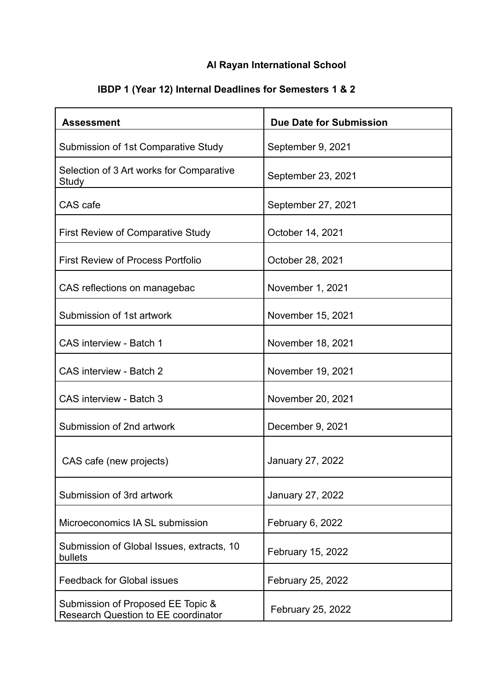## **Al Rayan International School**

| IBDP 1 (Year 12) Internal Deadlines for Semesters 1 & 2 |  |
|---------------------------------------------------------|--|
|---------------------------------------------------------|--|

| <b>Assessment</b>                                                        | Due Date for Submission |
|--------------------------------------------------------------------------|-------------------------|
| Submission of 1st Comparative Study                                      | September 9, 2021       |
| Selection of 3 Art works for Comparative<br>Study                        | September 23, 2021      |
| CAS cafe                                                                 | September 27, 2021      |
| <b>First Review of Comparative Study</b>                                 | October 14, 2021        |
| <b>First Review of Process Portfolio</b>                                 | October 28, 2021        |
| CAS reflections on managebac                                             | November 1, 2021        |
| Submission of 1st artwork                                                | November 15, 2021       |
| <b>CAS interview - Batch 1</b>                                           | November 18, 2021       |
| <b>CAS</b> interview - Batch 2                                           | November 19, 2021       |
| CAS interview - Batch 3                                                  | November 20, 2021       |
| Submission of 2nd artwork                                                | December 9, 2021        |
| CAS cafe (new projects)                                                  | January 27, 2022        |
| Submission of 3rd artwork                                                | January 27, 2022        |
| Microeconomics IA SL submission                                          | February 6, 2022        |
| Submission of Global Issues, extracts, 10<br>bullets                     | February 15, 2022       |
| <b>Feedback for Global issues</b>                                        | February 25, 2022       |
| Submission of Proposed EE Topic &<br>Research Question to EE coordinator | February 25, 2022       |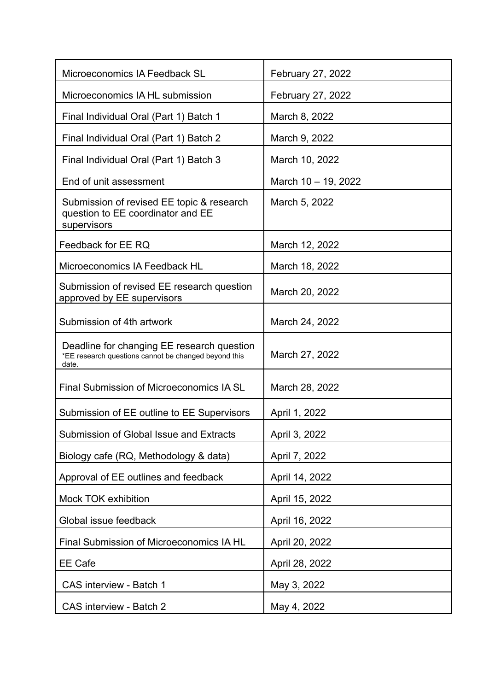| Microeconomics IA Feedback SL                                                                               | February 27, 2022   |
|-------------------------------------------------------------------------------------------------------------|---------------------|
| Microeconomics IA HL submission                                                                             | February 27, 2022   |
| Final Individual Oral (Part 1) Batch 1                                                                      | March 8, 2022       |
| Final Individual Oral (Part 1) Batch 2                                                                      | March 9, 2022       |
| Final Individual Oral (Part 1) Batch 3                                                                      | March 10, 2022      |
| End of unit assessment                                                                                      | March 10 - 19, 2022 |
| Submission of revised EE topic & research<br>question to EE coordinator and EE<br>supervisors               | March 5, 2022       |
| Feedback for EE RQ                                                                                          | March 12, 2022      |
| Microeconomics IA Feedback HL                                                                               | March 18, 2022      |
| Submission of revised EE research question<br>approved by EE supervisors                                    | March 20, 2022      |
| Submission of 4th artwork                                                                                   | March 24, 2022      |
| Deadline for changing EE research question<br>*EE research questions cannot be changed beyond this<br>date. | March 27, 2022      |
| Final Submission of Microeconomics IA SL                                                                    | March 28, 2022      |
| Submission of EE outline to EE Supervisors                                                                  | April 1, 2022       |
| Submission of Global Issue and Extracts                                                                     | April 3, 2022       |
| Biology cafe (RQ, Methodology & data)                                                                       | April 7, 2022       |
| Approval of EE outlines and feedback                                                                        | April 14, 2022      |
| Mock TOK exhibition                                                                                         | April 15, 2022      |
| Global issue feedback                                                                                       | April 16, 2022      |
| Final Submission of Microeconomics IA HL                                                                    | April 20, 2022      |
| <b>EE Cafe</b>                                                                                              | April 28, 2022      |
| <b>CAS interview - Batch 1</b>                                                                              | May 3, 2022         |
| CAS interview - Batch 2                                                                                     | May 4, 2022         |